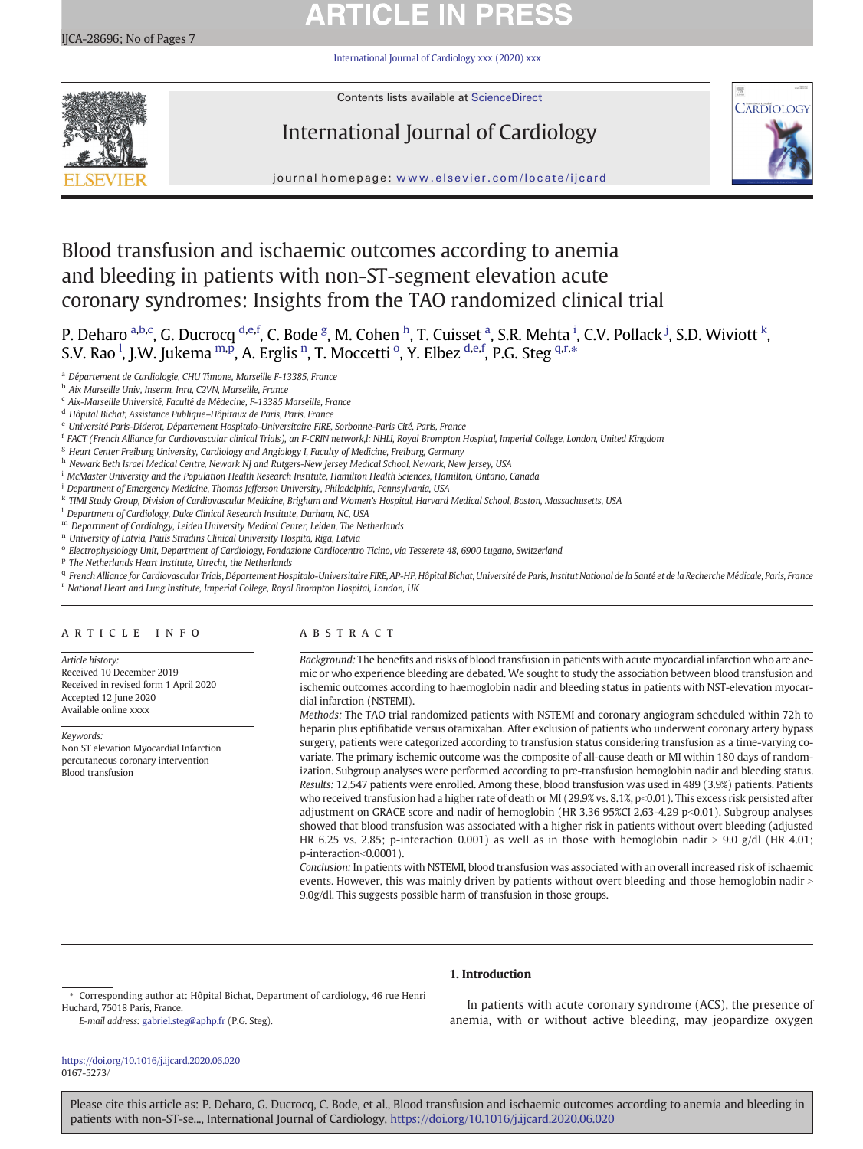## **ARTICLE IN PRESS**

[International Journal of Cardiology xxx \(2020\) xxx](https://doi.org/10.1016/j.ijcard.2020.06.020)



Contents lists available at [ScienceDirect](http://www.sciencedirect.com/science/journal/)

## International Journal of Cardiology



journal homepage: <www.elsevier.com/locate/ijcard>

## Blood transfusion and ischaemic outcomes according to anemia and bleeding in patients with non-ST-segment elevation acute coronary syndromes: Insights from the TAO randomized clinical trial

P. Deharo <sup>a,b,c</sup>, G. Ducrocq <sup>d,e,f</sup>, C. Bode <sup>g</sup>, M. Cohen <sup>h</sup>, T. Cuisset <sup>a</sup>, S.R. Mehta <sup>i</sup>, C.V. Pollack <sup>j</sup>, S.D. Wiviott <sup>k</sup>, S.V. Rao <sup>1</sup>, J.W. Jukema <sup>m,p</sup>, A. Erglis <sup>n</sup>, T. Moccetti <sup>o</sup>, Y. Elbez <sup>d,e,f</sup>, P.G. Steg <sup>q,r,</sup>\*

- <sup>a</sup> Département de Cardiologie, CHU Timone, Marseille F-13385, France
- <sup>b</sup> Aix Marseille Univ, Inserm, Inra, C2VN, Marseille, France
- <sup>c</sup> Aix-Marseille Université, Faculté de Médecine, F-13385 Marseille, France
- <sup>d</sup> Hôpital Bichat, Assistance Publique–Hôpitaux de Paris, Paris, France
- e Université Paris-Diderot, Département Hospitalo-Universitaire FIRE, Sorbonne-Paris Cité, Paris, France
- <sup>f</sup> FACT (French Alliance for Cardiovascular clinical Trials), an F-CRIN network,l: NHLI, Royal Brompton Hospital, Imperial College, London, United Kingdom
- <sup>g</sup> Heart Center Freiburg University, Cardiology and Angiology I, Faculty of Medicine, Freiburg, Germany
- h Newark Beth Israel Medical Centre, Newark NJ and Rutgers-New Jersey Medical School, Newark, New Jersey, USA
- <sup>i</sup> McMaster University and the Population Health Research Institute, Hamilton Health Sciences, Hamilton, Ontario, Canada
- <sup>j</sup> Department of Emergency Medicine, Thomas Jefferson University, Philadelphia, Pennsylvania, USA
- k TIMI Study Group, Division of Cardiovascular Medicine, Brigham and Women's Hospital, Harvard Medical School, Boston, Massachusetts, USA
- <sup>1</sup> Department of Cardiology, Duke Clinical Research Institute, Durham, NC, USA
- <sup>m</sup> Department of Cardiology, Leiden University Medical Center, Leiden, The Netherlands
- <sup>n</sup> University of Latvia, Pauls Stradins Clinical University Hospita, Riga, Latvia
- <sup>o</sup> Electrophysiology Unit, Department of Cardiology, Fondazione Cardiocentro Ticino, via Tesserete 48, 6900 Lugano, Switzerland
- <sup>p</sup> The Netherlands Heart Institute, Utrecht, the Netherlands
- q French Alliance for Cardiovascular Trials, Département Hospitalo-Universitaire FIRE, AP-HP, Hôpital Bichat, Université de Paris, Institut National de la Santé et de la Recherche Médicale, Paris, France
- <sup>r</sup> National Heart and Lung Institute, Imperial College, Royal Brompton Hospital, London, UK

#### article info abstract

Article history: Received 10 December 2019 Received in revised form 1 April 2020 Accepted 12 June 2020 Available online xxxx

Keywords: Non ST elevation Myocardial Infarction percutaneous coronary intervention Blood transfusion

Background: The benefits and risks of blood transfusion in patients with acute myocardial infarction who are anemic or who experience bleeding are debated. We sought to study the association between blood transfusion and ischemic outcomes according to haemoglobin nadir and bleeding status in patients with NST-elevation myocardial infarction (NSTEMI).

Methods: The TAO trial randomized patients with NSTEMI and coronary angiogram scheduled within 72h to heparin plus eptifibatide versus otamixaban. After exclusion of patients who underwent coronary artery bypass surgery, patients were categorized according to transfusion status considering transfusion as a time-varying covariate. The primary ischemic outcome was the composite of all-cause death or MI within 180 days of randomization. Subgroup analyses were performed according to pre-transfusion hemoglobin nadir and bleeding status. Results: 12,547 patients were enrolled. Among these, blood transfusion was used in 489 (3.9%) patients. Patients who received transfusion had a higher rate of death or MI (29.9% vs. 8.1%, p<0.01). This excess risk persisted after adjustment on GRACE score and nadir of hemoglobin (HR 3.36 95%CI 2.63-4.29 p<0.01). Subgroup analyses showed that blood transfusion was associated with a higher risk in patients without overt bleeding (adjusted HR 6.25 vs. 2.85; p-interaction 0.001) as well as in those with hemoglobin nadir > 9.0 g/dl (HR 4.01; p-interaction<0.0001).

Conclusion: In patients with NSTEMI, blood transfusion was associated with an overall increased risk of ischaemic events. However, this was mainly driven by patients without overt bleeding and those hemoglobin nadir > 9.0g/dl. This suggests possible harm of transfusion in those groups.

#### 1. Introduction

E-mail address: [gabriel.steg@aphp.fr](mailto:gabriel.steg@aphp.fr) (P.G. Steg).

In patients with acute coronary syndrome (ACS), the presence of anemia, with or without active bleeding, may jeopardize oxygen

<https://doi.org/10.1016/j.ijcard.2020.06.020> 0167-5273/

<sup>⁎</sup> Corresponding author at: Hôpital Bichat, Department of cardiology, 46 rue Henri Huchard, 75018 Paris, France.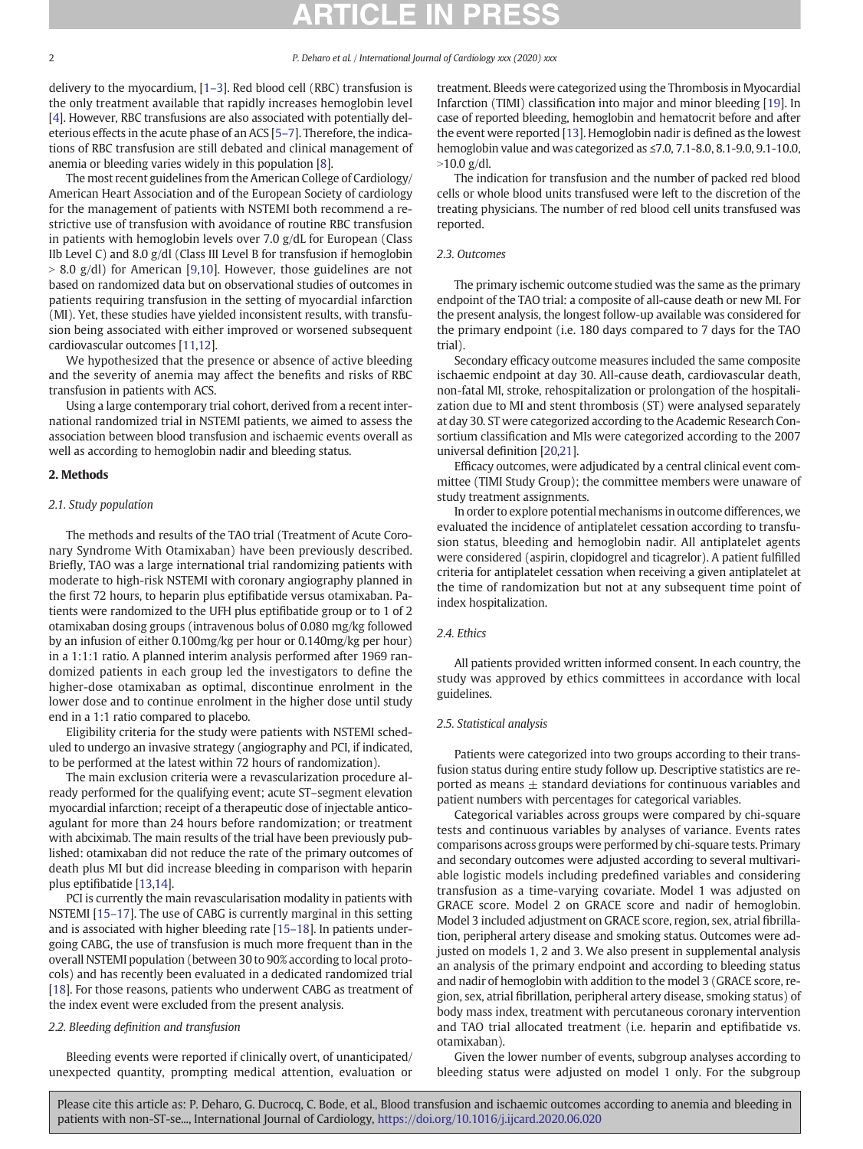delivery to the myocardium, [\[1](#page-6-0)–3]. Red blood cell (RBC) transfusion is the only treatment available that rapidly increases hemoglobin level [\[4\]](#page-6-0). However, RBC transfusions are also associated with potentially deleterious effects in the acute phase of an ACS [\[5](#page-6-0)–7]. Therefore, the indications of RBC transfusion are still debated and clinical management of anemia or bleeding varies widely in this population [\[8\]](#page-6-0).

The most recent guidelines from the American College of Cardiology/ American Heart Association and of the European Society of cardiology for the management of patients with NSTEMI both recommend a restrictive use of transfusion with avoidance of routine RBC transfusion in patients with hemoglobin levels over 7.0 g/dL for European (Class IIb Level C) and 8.0 g/dl (Class III Level B for transfusion if hemoglobin  $> 8.0$  g/dl) for American [[9](#page-6-0),[10](#page-6-0)]. However, those guidelines are not based on randomized data but on observational studies of outcomes in patients requiring transfusion in the setting of myocardial infarction (MI). Yet, these studies have yielded inconsistent results, with transfusion being associated with either improved or worsened subsequent cardiovascular outcomes [\[11](#page-6-0),[12\]](#page-6-0).

We hypothesized that the presence or absence of active bleeding and the severity of anemia may affect the benefits and risks of RBC transfusion in patients with ACS.

Using a large contemporary trial cohort, derived from a recent international randomized trial in NSTEMI patients, we aimed to assess the association between blood transfusion and ischaemic events overall as well as according to hemoglobin nadir and bleeding status.

#### 2. Methods

#### 2.1. Study population

The methods and results of the TAO trial (Treatment of Acute Coronary Syndrome With Otamixaban) have been previously described. Briefly, TAO was a large international trial randomizing patients with moderate to high-risk NSTEMI with coronary angiography planned in the first 72 hours, to heparin plus eptifibatide versus otamixaban. Patients were randomized to the UFH plus eptifibatide group or to 1 of 2 otamixaban dosing groups (intravenous bolus of 0.080 mg/kg followed by an infusion of either 0.100mg/kg per hour or 0.140mg/kg per hour) in a 1:1:1 ratio. A planned interim analysis performed after 1969 randomized patients in each group led the investigators to define the higher-dose otamixaban as optimal, discontinue enrolment in the lower dose and to continue enrolment in the higher dose until study end in a 1:1 ratio compared to placebo.

Eligibility criteria for the study were patients with NSTEMI scheduled to undergo an invasive strategy (angiography and PCI, if indicated, to be performed at the latest within 72 hours of randomization).

The main exclusion criteria were a revascularization procedure already performed for the qualifying event; acute ST–segment elevation myocardial infarction; receipt of a therapeutic dose of injectable anticoagulant for more than 24 hours before randomization; or treatment with abciximab. The main results of the trial have been previously published: otamixaban did not reduce the rate of the primary outcomes of death plus MI but did increase bleeding in comparison with heparin plus eptifibatide [\[13](#page-6-0),[14\]](#page-6-0).

PCI is currently the main revascularisation modality in patients with NSTEMI [15–[17\]](#page-6-0). The use of CABG is currently marginal in this setting and is associated with higher bleeding rate [\[15](#page-6-0)–18]. In patients undergoing CABG, the use of transfusion is much more frequent than in the overall NSTEMI population (between 30 to 90% according to local protocols) and has recently been evaluated in a dedicated randomized trial [\[18](#page-6-0)]. For those reasons, patients who underwent CABG as treatment of the index event were excluded from the present analysis.

### 2.2. Bleeding definition and transfusion

Bleeding events were reported if clinically overt, of unanticipated/ unexpected quantity, prompting medical attention, evaluation or treatment. Bleeds were categorized using the Thrombosis in Myocardial Infarction (TIMI) classification into major and minor bleeding [[19\]](#page-6-0). In case of reported bleeding, hemoglobin and hematocrit before and after the event were reported [\[13\]](#page-6-0). Hemoglobin nadir is defined as the lowest hemoglobin value and was categorized as ≤7.0, 7.1-8.0, 8.1-9.0, 9.1-10.0,  $>10.0$  g/dl.

The indication for transfusion and the number of packed red blood cells or whole blood units transfused were left to the discretion of the treating physicians. The number of red blood cell units transfused was reported.

### 2.3. Outcomes

The primary ischemic outcome studied was the same as the primary endpoint of the TAO trial: a composite of all-cause death or new MI. For the present analysis, the longest follow-up available was considered for the primary endpoint (i.e. 180 days compared to 7 days for the TAO trial).

Secondary efficacy outcome measures included the same composite ischaemic endpoint at day 30. All-cause death, cardiovascular death, non-fatal MI, stroke, rehospitalization or prolongation of the hospitalization due to MI and stent thrombosis (ST) were analysed separately at day 30. ST were categorized according to the Academic Research Consortium classification and MIs were categorized according to the 2007 universal definition [[20,21](#page-6-0)].

Efficacy outcomes, were adjudicated by a central clinical event committee (TIMI Study Group); the committee members were unaware of study treatment assignments.

In order to explore potential mechanisms in outcome differences, we evaluated the incidence of antiplatelet cessation according to transfusion status, bleeding and hemoglobin nadir. All antiplatelet agents were considered (aspirin, clopidogrel and ticagrelor). A patient fulfilled criteria for antiplatelet cessation when receiving a given antiplatelet at the time of randomization but not at any subsequent time point of index hospitalization.

#### 2.4. Ethics

All patients provided written informed consent. In each country, the study was approved by ethics committees in accordance with local guidelines.

#### 2.5. Statistical analysis

Patients were categorized into two groups according to their transfusion status during entire study follow up. Descriptive statistics are reported as means  $\pm$  standard deviations for continuous variables and patient numbers with percentages for categorical variables.

Categorical variables across groups were compared by chi-square tests and continuous variables by analyses of variance. Events rates comparisons across groups were performed by chi-square tests. Primary and secondary outcomes were adjusted according to several multivariable logistic models including predefined variables and considering transfusion as a time-varying covariate. Model 1 was adjusted on GRACE score. Model 2 on GRACE score and nadir of hemoglobin. Model 3 included adjustment on GRACE score, region, sex, atrial fibrillation, peripheral artery disease and smoking status. Outcomes were adjusted on models 1, 2 and 3. We also present in supplemental analysis an analysis of the primary endpoint and according to bleeding status and nadir of hemoglobin with addition to the model 3 (GRACE score, region, sex, atrial fibrillation, peripheral artery disease, smoking status) of body mass index, treatment with percutaneous coronary intervention and TAO trial allocated treatment (i.e. heparin and eptifibatide vs. otamixaban).

Given the lower number of events, subgroup analyses according to bleeding status were adjusted on model 1 only. For the subgroup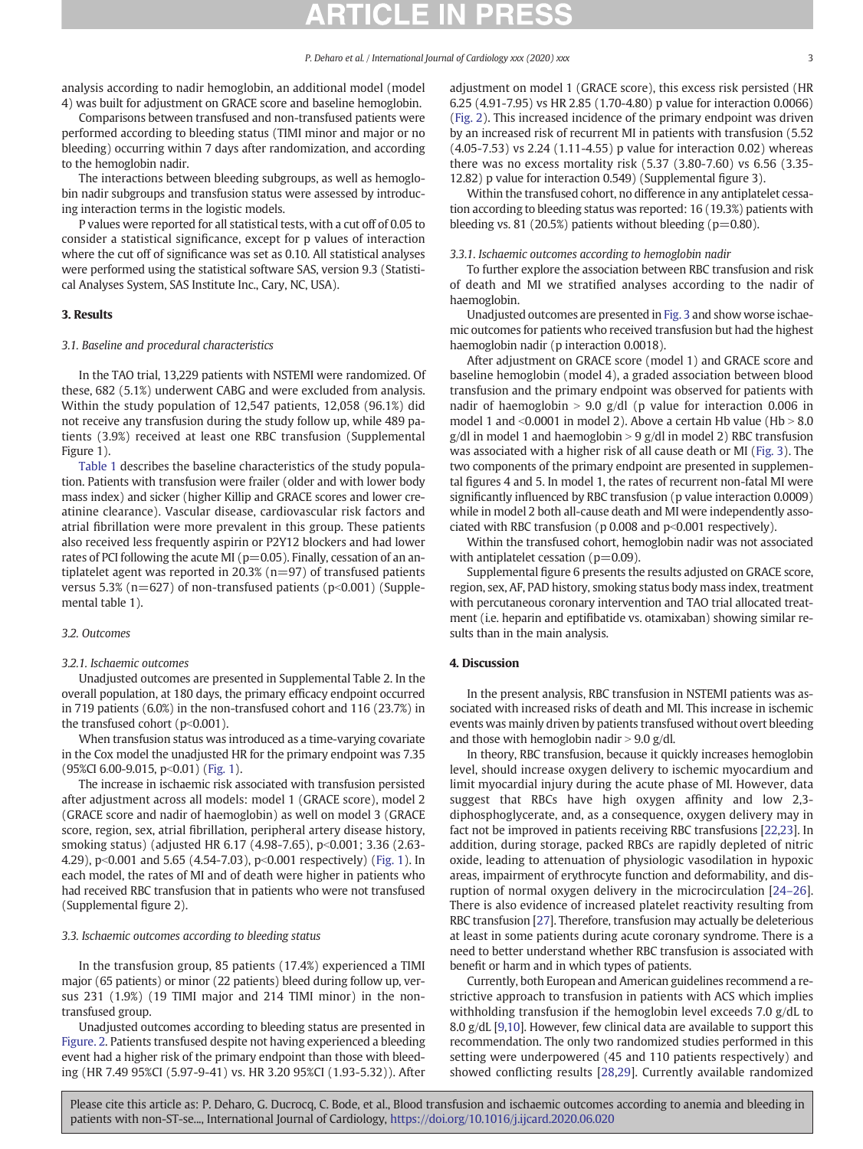analysis according to nadir hemoglobin, an additional model (model 4) was built for adjustment on GRACE score and baseline hemoglobin.

Comparisons between transfused and non-transfused patients were performed according to bleeding status (TIMI minor and major or no bleeding) occurring within 7 days after randomization, and according to the hemoglobin nadir.

The interactions between bleeding subgroups, as well as hemoglobin nadir subgroups and transfusion status were assessed by introducing interaction terms in the logistic models.

P values were reported for all statistical tests, with a cut off of 0.05 to consider a statistical significance, except for p values of interaction where the cut off of significance was set as 0.10. All statistical analyses were performed using the statistical software SAS, version 9.3 (Statistical Analyses System, SAS Institute Inc., Cary, NC, USA).

#### 3. Results

#### 3.1. Baseline and procedural characteristics

In the TAO trial, 13,229 patients with NSTEMI were randomized. Of these, 682 (5.1%) underwent CABG and were excluded from analysis. Within the study population of 12,547 patients, 12,058 (96.1%) did not receive any transfusion during the study follow up, while 489 patients (3.9%) received at least one RBC transfusion (Supplemental Figure 1).

[Table 1](#page-3-0) describes the baseline characteristics of the study population. Patients with transfusion were frailer (older and with lower body mass index) and sicker (higher Killip and GRACE scores and lower creatinine clearance). Vascular disease, cardiovascular risk factors and atrial fibrillation were more prevalent in this group. These patients also received less frequently aspirin or P2Y12 blockers and had lower rates of PCI following the acute MI ( $p=0.05$ ). Finally, cessation of an antiplatelet agent was reported in 20.3% ( $n=97$ ) of transfused patients versus 5.3% ( $n=627$ ) of non-transfused patients ( $p<0.001$ ) (Supplemental table 1).

### 3.2. Outcomes

#### 3.2.1. Ischaemic outcomes

Unadjusted outcomes are presented in Supplemental Table 2. In the overall population, at 180 days, the primary efficacy endpoint occurred in 719 patients (6.0%) in the non-transfused cohort and 116 (23.7%) in the transfused cohort ( $p<0.001$ ).

When transfusion status was introduced as a time-varying covariate in the Cox model the unadjusted HR for the primary endpoint was 7.35  $(95\%CI 6.00-9.015, p<0.01)$  ([Fig. 1](#page-4-0)).

The increase in ischaemic risk associated with transfusion persisted after adjustment across all models: model 1 (GRACE score), model 2 (GRACE score and nadir of haemoglobin) as well on model 3 (GRACE score, region, sex, atrial fibrillation, peripheral artery disease history, smoking status) (adjusted HR 6.17 (4.98-7.65), p<0.001; 3.36 (2.63-4.29), p<0.001 and 5.65 (4.54-7.03), p<0.001 respectively) ([Fig. 1\)](#page-4-0). In each model, the rates of MI and of death were higher in patients who had received RBC transfusion that in patients who were not transfused (Supplemental figure 2).

#### 3.3. Ischaemic outcomes according to bleeding status

In the transfusion group, 85 patients (17.4%) experienced a TIMI major (65 patients) or minor (22 patients) bleed during follow up, versus 231 (1.9%) (19 TIMI major and 214 TIMI minor) in the nontransfused group.

Unadjusted outcomes according to bleeding status are presented in [Figure. 2.](#page-4-0) Patients transfused despite not having experienced a bleeding event had a higher risk of the primary endpoint than those with bleeding (HR 7.49 95%CI (5.97-9-41) vs. HR 3.20 95%CI (1.93-5.32)). After adjustment on model 1 (GRACE score), this excess risk persisted (HR 6.25 (4.91-7.95) vs HR 2.85 (1.70-4.80) p value for interaction 0.0066) [\(Fig. 2](#page-4-0)). This increased incidence of the primary endpoint was driven by an increased risk of recurrent MI in patients with transfusion (5.52 (4.05-7.53) vs 2.24 (1.11-4.55) p value for interaction 0.02) whereas there was no excess mortality risk (5.37 (3.80-7.60) vs 6.56 (3.35- 12.82) p value for interaction 0.549) (Supplemental figure 3).

Within the transfused cohort, no difference in any antiplatelet cessation according to bleeding status was reported: 16 (19.3%) patients with bleeding vs. 81 (20.5%) patients without bleeding ( $p=0.80$ ).

#### 3.3.1. Ischaemic outcomes according to hemoglobin nadir

To further explore the association between RBC transfusion and risk of death and MI we stratified analyses according to the nadir of haemoglobin.

Unadjusted outcomes are presented in [Fig. 3](#page-5-0) and show worse ischaemic outcomes for patients who received transfusion but had the highest haemoglobin nadir (p interaction 0.0018).

After adjustment on GRACE score (model 1) and GRACE score and baseline hemoglobin (model 4), a graded association between blood transfusion and the primary endpoint was observed for patients with nadir of haemoglobin  $> 9.0$  g/dl (p value for interaction 0.006 in model 1 and  $\leq$ 0.0001 in model 2). Above a certain Hb value (Hb  $>$  8.0  $g/dl$  in model 1 and haemoglobin > 9  $g/dl$  in model 2) RBC transfusion was associated with a higher risk of all cause death or MI ([Fig. 3\)](#page-5-0). The two components of the primary endpoint are presented in supplemental figures 4 and 5. In model 1, the rates of recurrent non-fatal MI were significantly influenced by RBC transfusion (p value interaction 0.0009) while in model 2 both all-cause death and MI were independently associated with RBC transfusion ( $p$  0.008 and  $p$ <0.001 respectively).

Within the transfused cohort, hemoglobin nadir was not associated with antiplatelet cessation ( $p=0.09$ ).

Supplemental figure 6 presents the results adjusted on GRACE score, region, sex, AF, PAD history, smoking status body mass index, treatment with percutaneous coronary intervention and TAO trial allocated treatment (i.e. heparin and eptifibatide vs. otamixaban) showing similar results than in the main analysis.

#### 4. Discussion

In the present analysis, RBC transfusion in NSTEMI patients was associated with increased risks of death and MI. This increase in ischemic events was mainly driven by patients transfused without overt bleeding and those with hemoglobin nadir  $> 9.0$  g/dl.

In theory, RBC transfusion, because it quickly increases hemoglobin level, should increase oxygen delivery to ischemic myocardium and limit myocardial injury during the acute phase of MI. However, data suggest that RBCs have high oxygen affinity and low 2,3 diphosphoglycerate, and, as a consequence, oxygen delivery may in fact not be improved in patients receiving RBC transfusions [[22,23\]](#page-6-0). In addition, during storage, packed RBCs are rapidly depleted of nitric oxide, leading to attenuation of physiologic vasodilation in hypoxic areas, impairment of erythrocyte function and deformability, and disruption of normal oxygen delivery in the microcirculation [24–[26\]](#page-6-0). There is also evidence of increased platelet reactivity resulting from RBC transfusion [[27\]](#page-6-0). Therefore, transfusion may actually be deleterious at least in some patients during acute coronary syndrome. There is a need to better understand whether RBC transfusion is associated with benefit or harm and in which types of patients.

Currently, both European and American guidelines recommend a restrictive approach to transfusion in patients with ACS which implies withholding transfusion if the hemoglobin level exceeds 7.0 g/dL to 8.0 g/dL [[9,10\]](#page-6-0). However, few clinical data are available to support this recommendation. The only two randomized studies performed in this setting were underpowered (45 and 110 patients respectively) and showed conflicting results [\[28,29\]](#page-6-0). Currently available randomized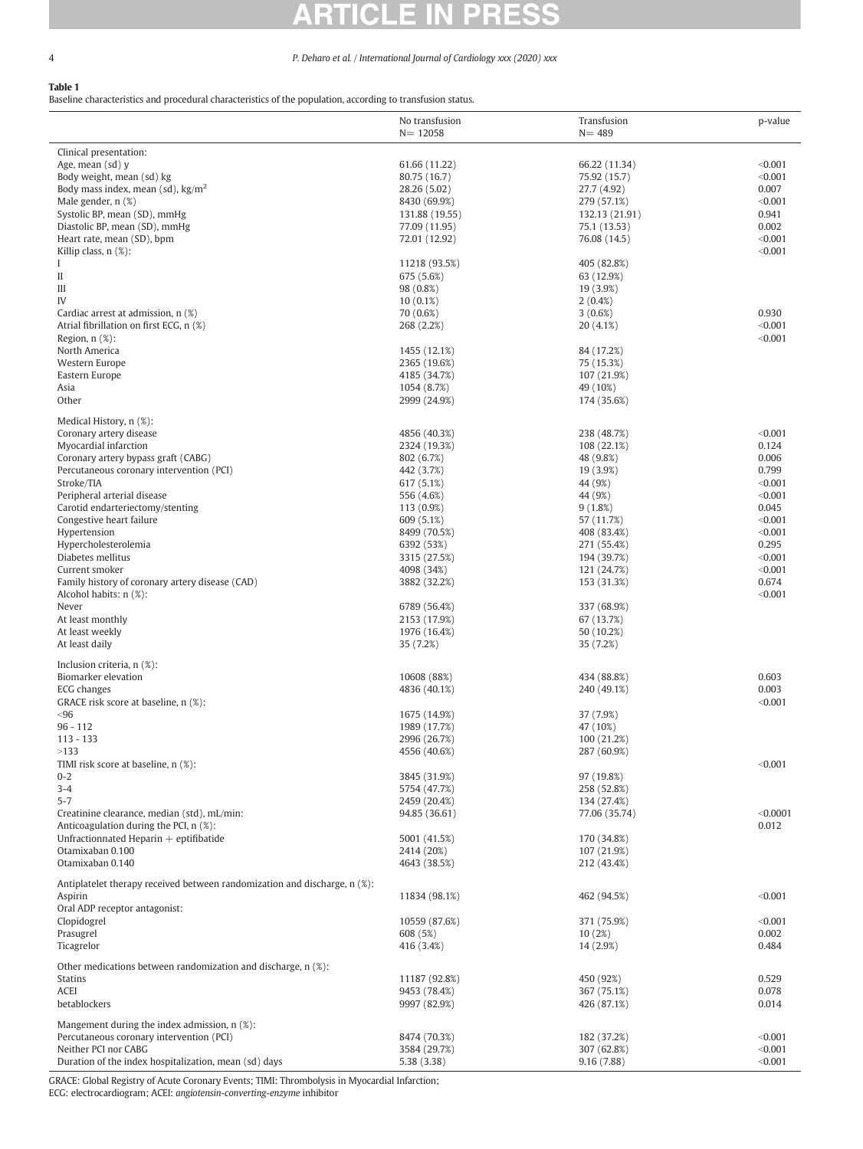# A

### <span id="page-3-0"></span>4 P. Deharo et al. / International Journal of Cardiology xxx (2020) xxx

### Table 1

Baseline characteristics and procedural characteristics of the population, according to transfusion status.

|                                                                               | No transfusion<br>$N = 12058$ | Transfusion<br>$N = 489$  | p-value            |
|-------------------------------------------------------------------------------|-------------------------------|---------------------------|--------------------|
| Clinical presentation:                                                        |                               |                           |                    |
| Age, mean (sd) y                                                              | 61.66 (11.22)                 | 66.22 (11.34)             | < 0.001            |
| Body weight, mean (sd) kg                                                     | 80.75 (16.7)                  | 75.92 (15.7)              | < 0.001            |
| Body mass index, mean (sd), $\text{kg/m}^2$                                   | 28.26 (5.02)                  | 27.7 (4.92)               | 0.007              |
| Male gender, n (%)                                                            | 8430 (69.9%)                  | 279 (57.1%)               | < 0.001            |
| Systolic BP, mean (SD), mmHg                                                  | 131.88 (19.55)                | 132.13 (21.91)            | 0.941              |
| Diastolic BP, mean (SD), mmHg                                                 | 77.09 (11.95)                 | 75.1 (13.53)              | 0.002              |
| Heart rate, mean (SD), bpm                                                    | 72.01 (12.92)                 | 76.08 (14.5)              | < 0.001            |
| Killip class, n (%):                                                          |                               |                           | < 0.001            |
| L<br>$\mathbf{I}$                                                             | 11218 (93.5%)<br>675 (5.6%)   | 405 (82.8%)<br>63 (12.9%) |                    |
| Ш                                                                             | 98 (0.8%)                     | 19 (3.9%)                 |                    |
| IV                                                                            | $10(0.1\%)$                   | $2(0.4\%)$                |                    |
| Cardiac arrest at admission, n (%)                                            | 70 (0.6%)                     | 3(0.6%)                   | 0.930              |
| Atrial fibrillation on first ECG, n (%)                                       | 268 (2.2%)                    | 20(4.1%)                  | < 0.001            |
| Region, $n$ $(\%)$ :                                                          |                               |                           | < 0.001            |
| North America                                                                 | 1455 (12.1%)                  | 84 (17.2%)                |                    |
| Western Europe                                                                | 2365 (19.6%)                  | 75 (15.3%)                |                    |
| Eastern Europe                                                                | 4185 (34.7%)                  | 107 (21.9%)               |                    |
| Asia                                                                          | 1054 (8.7%)                   | 49 (10%)                  |                    |
| Other                                                                         | 2999 (24.9%)                  | 174 (35.6%)               |                    |
| Medical History, n (%):                                                       |                               |                           |                    |
| Coronary artery disease                                                       | 4856 (40.3%)                  | 238 (48.7%)               | < 0.001            |
| Myocardial infarction                                                         | 2324 (19.3%)                  | 108 (22.1%)               | 0.124              |
| Coronary artery bypass graft (CABG)                                           | 802 (6.7%)                    | 48 (9.8%)                 | 0.006              |
| Percutaneous coronary intervention (PCI)                                      | 442 (3.7%)                    | 19 (3.9%)                 | 0.799              |
| Stroke/TIA                                                                    | 617 (5.1%)                    | 44 (9%)                   | < 0.001            |
| Peripheral arterial disease                                                   | 556 (4.6%)                    | 44 (9%)                   | < 0.001            |
| Carotid endarteriectomy/stenting<br>Congestive heart failure                  | 113 (0.9%)                    | 9(1.8%)                   | 0.045<br>< 0.001   |
| Hypertension                                                                  | 609 (5.1%)<br>8499 (70.5%)    | 57 (11.7%)<br>408 (83.4%) | < 0.001            |
| Hypercholesterolemia                                                          | 6392 (53%)                    | 271 (55.4%)               | 0.295              |
| Diabetes mellitus                                                             | 3315 (27.5%)                  | 194 (39.7%)               | < 0.001            |
| Current smoker                                                                | 4098 (34%)                    | 121 (24.7%)               | < 0.001            |
| Family history of coronary artery disease (CAD)                               | 3882 (32.2%)                  | 153 (31.3%)               | 0.674              |
| Alcohol habits: n (%):                                                        |                               |                           | < 0.001            |
| Never                                                                         | 6789 (56.4%)                  | 337 (68.9%)               |                    |
| At least monthly                                                              | 2153 (17.9%)                  | 67 (13.7%)                |                    |
| At least weekly                                                               | 1976 (16.4%)                  | 50 (10.2%)                |                    |
| At least daily                                                                | 35 (7.2%)                     | 35 (7.2%)                 |                    |
| Inclusion criteria, n (%):                                                    |                               |                           |                    |
| Biomarker elevation                                                           | 10608 (88%)                   | 434 (88.8%)               | 0.603              |
| ECG changes                                                                   | 4836 (40.1%)                  | 240 (49.1%)               | 0.003              |
| GRACE risk score at baseline, n (%):                                          |                               |                           | < 0.001            |
| < 96                                                                          | 1675 (14.9%)                  | 37 (7.9%)                 |                    |
| $96 - 112$                                                                    | 1989 (17.7%)                  | 47 (10%)                  |                    |
| $113 - 133$                                                                   | 2996 (26.7%)                  | 100 (21.2%)               |                    |
| >133<br>TIMI risk score at baseline, n (%):                                   | 4556 (40.6%)                  | 287 (60.9%)               | < 0.001            |
| $0 - 2$                                                                       | 3845 (31.9%)                  | 97 (19.8%)                |                    |
| $3 - 4$                                                                       | 5754 (47.7%)                  | 258 (52.8%)               |                    |
| $5 - 7$                                                                       | 2459 (20.4%)                  | 134 (27.4%)               |                    |
| Creatinine clearance, median (std), mL/min:                                   | 94.85 (36.61)                 | 77.06 (35.74)             | < 0.0001           |
| Anticoagulation during the PCI, n (%):                                        |                               |                           | 0.012              |
| Unfractionnated Heparin $+$ eptifibatide                                      | 5001 (41.5%)                  | 170 (34.8%)               |                    |
| Otamixaban 0.100                                                              | 2414 (20%)                    | 107 (21.9%)               |                    |
| Otamixaban 0.140                                                              | 4643 (38.5%)                  | 212 (43.4%)               |                    |
| Antiplatelet therapy received between randomization and discharge, n (%):     |                               |                           |                    |
| Aspirin                                                                       | 11834 (98.1%)                 | 462 (94.5%)               | < 0.001            |
| Oral ADP receptor antagonist:                                                 |                               |                           |                    |
| Clopidogrel                                                                   | 10559 (87.6%)                 | 371 (75.9%)               | < 0.001            |
| Prasugrel                                                                     | 608 (5%)                      | 10(2%)                    | 0.002              |
| Ticagrelor                                                                    | 416 (3.4%)                    | 14 (2.9%)                 | 0.484              |
| Other medications between randomization and discharge, n (%):                 |                               |                           |                    |
| Statins                                                                       | 11187 (92.8%)                 | 450 (92%)                 | 0.529              |
| ACEI                                                                          | 9453 (78.4%)                  | 367 (75.1%)               | 0.078              |
| betablockers                                                                  | 9997 (82.9%)                  | 426 (87.1%)               | 0.014              |
|                                                                               |                               |                           |                    |
| Mangement during the index admission, n (%):                                  |                               |                           |                    |
| Percutaneous coronary intervention (PCI)                                      | 8474 (70.3%)                  | 182 (37.2%)               | < 0.001            |
| Neither PCI nor CABG<br>Duration of the index hospitalization, mean (sd) days | 3584 (29.7%)                  | 307 (62.8%)<br>9.16(7.88) | < 0.001<br>< 0.001 |
|                                                                               | 5.38 (3.38)                   |                           |                    |

GRACE: Global Registry of Acute Coronary Events; TIMI: Thrombolysis in Myocardial Infarction; ECG: electrocardiogram; ACEI: angiotensin-converting-enzyme inhibitor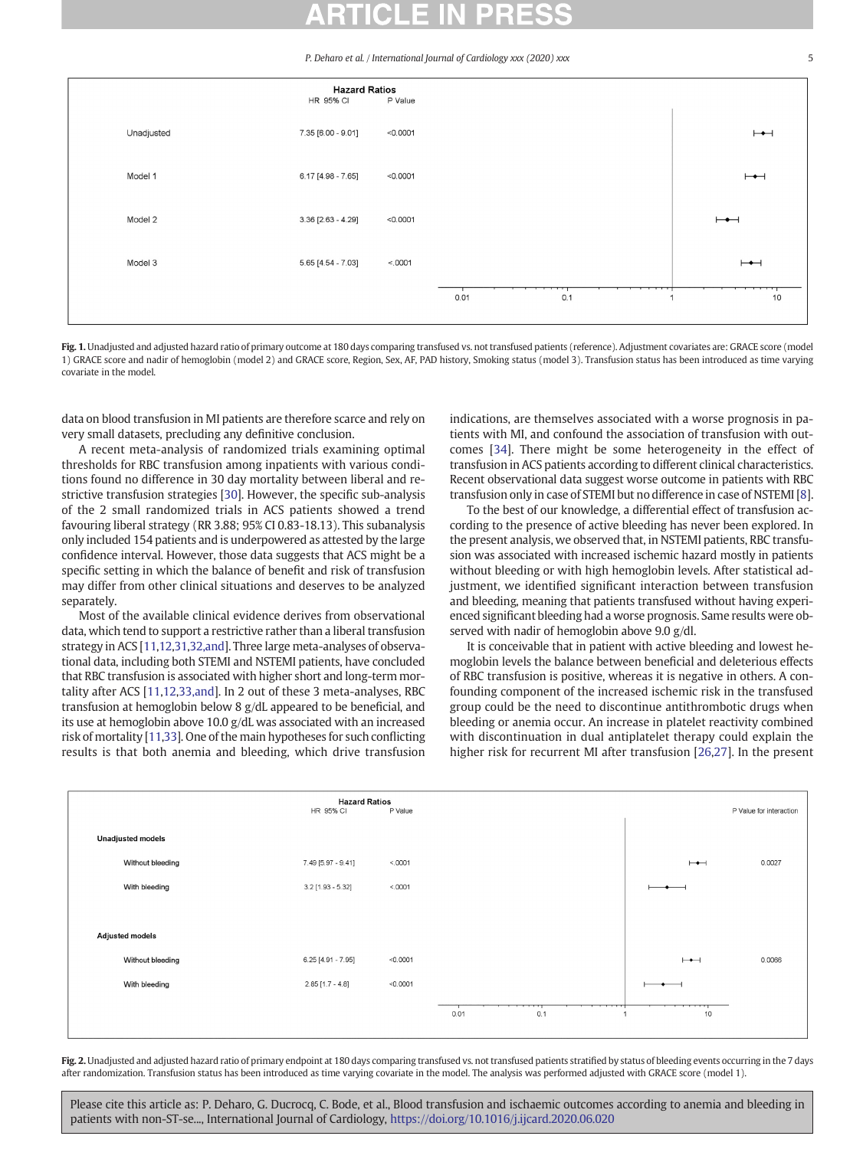P. Deharo et al. / International Journal of Cardiology xxx (2020) xxx

<span id="page-4-0"></span>

Fig. 1. Unadjusted and adjusted hazard ratio of primary outcome at 180 days comparing transfused vs. not transfused patients (reference). Adjustment covariates are: GRACE score (model 1) GRACE score and nadir of hemoglobin (model 2) and GRACE score, Region, Sex, AF, PAD history, Smoking status (model 3). Transfusion status has been introduced as time varying covariate in the model.

data on blood transfusion in MI patients are therefore scarce and rely on very small datasets, precluding any definitive conclusion.

A recent meta-analysis of randomized trials examining optimal thresholds for RBC transfusion among inpatients with various conditions found no difference in 30 day mortality between liberal and restrictive transfusion strategies [[30\]](#page-6-0). However, the specific sub-analysis of the 2 small randomized trials in ACS patients showed a trend favouring liberal strategy (RR 3.88; 95% CI 0.83-18.13). This subanalysis only included 154 patients and is underpowered as attested by the large confidence interval. However, those data suggests that ACS might be a specific setting in which the balance of benefit and risk of transfusion may differ from other clinical situations and deserves to be analyzed separately.

Most of the available clinical evidence derives from observational data, which tend to support a restrictive rather than a liberal transfusion strategy in ACS [\[11](#page-6-0),[12,31,32,and\]](#page-6-0). Three large meta-analyses of observational data, including both STEMI and NSTEMI patients, have concluded that RBC transfusion is associated with higher short and long-term mortality after ACS [[11,12,33,and\]](#page-6-0). In 2 out of these 3 meta-analyses, RBC transfusion at hemoglobin below 8 g/dL appeared to be beneficial, and its use at hemoglobin above 10.0 g/dL was associated with an increased risk of mortality [[11,33](#page-6-0)]. One of the main hypotheses for such conflicting results is that both anemia and bleeding, which drive transfusion indications, are themselves associated with a worse prognosis in patients with MI, and confound the association of transfusion with outcomes [[34](#page-6-0)]. There might be some heterogeneity in the effect of transfusion in ACS patients according to different clinical characteristics. Recent observational data suggest worse outcome in patients with RBC transfusion only in case of STEMI but no difference in case of NSTEMI [[8](#page-6-0)].

To the best of our knowledge, a differential effect of transfusion according to the presence of active bleeding has never been explored. In the present analysis, we observed that, in NSTEMI patients, RBC transfusion was associated with increased ischemic hazard mostly in patients without bleeding or with high hemoglobin levels. After statistical adjustment, we identified significant interaction between transfusion and bleeding, meaning that patients transfused without having experienced significant bleeding had a worse prognosis. Same results were observed with nadir of hemoglobin above 9.0 g/dl.

It is conceivable that in patient with active bleeding and lowest hemoglobin levels the balance between beneficial and deleterious effects of RBC transfusion is positive, whereas it is negative in others. A confounding component of the increased ischemic risk in the transfused group could be the need to discontinue antithrombotic drugs when bleeding or anemia occur. An increase in platelet reactivity combined with discontinuation in dual antiplatelet therapy could explain the higher risk for recurrent MI after transfusion [[26](#page-6-0),[27](#page-6-0)]. In the present



Fig. 2. Unadjusted and adjusted hazard ratio of primary endpoint at 180 days comparing transfused vs. not transfused patients stratified by status of bleeding events occurring in the 7 days after randomization. Transfusion status has been introduced as time varying covariate in the model. The analysis was performed adjusted with GRACE score (model 1).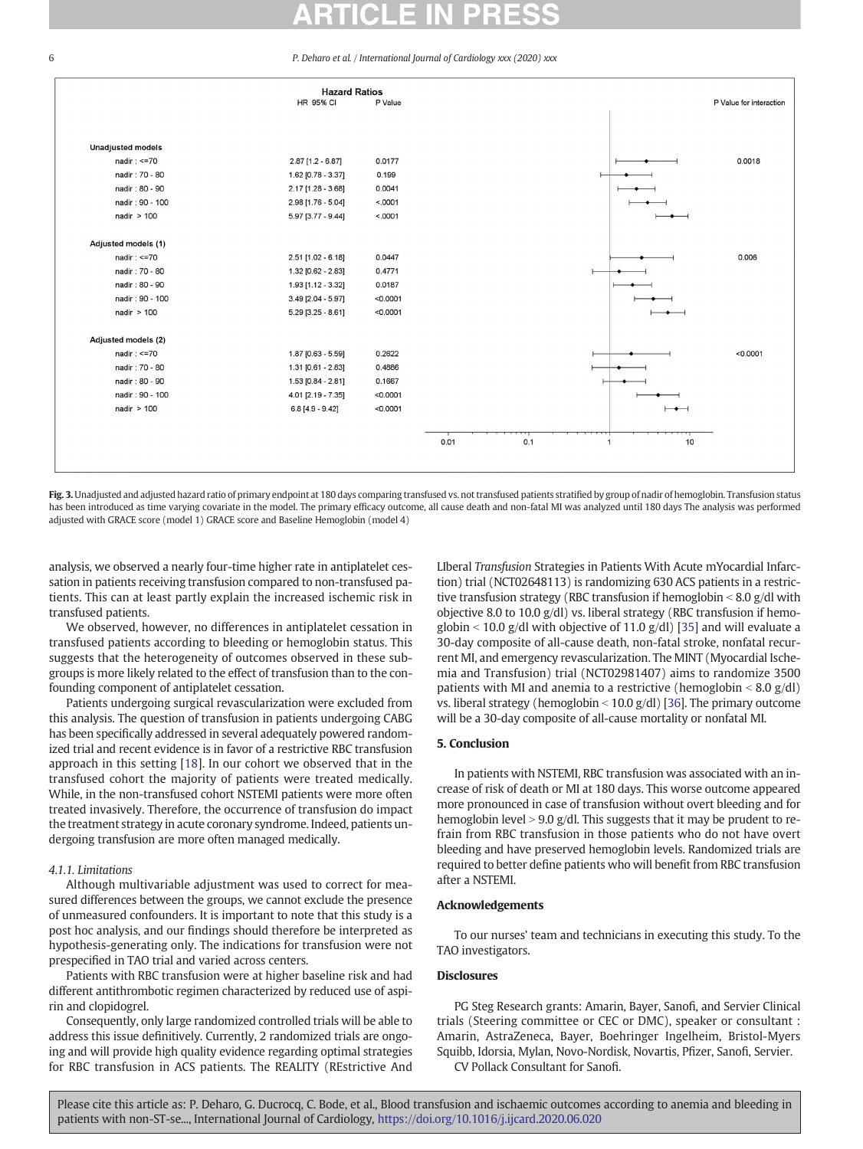#### <span id="page-5-0"></span>6 P. Deharo et al. / International Journal of Cardiology xxx (2020) xxx



Fig. 3. Unadjusted and adjusted hazard ratio of primary endpoint at 180 days comparing transfused vs. not transfused patients stratified by group of nadir of hemoglobin. Transfusion status has been introduced as time varying covariate in the model. The primary efficacy outcome, all cause death and non-fatal MI was analyzed until 180 days The analysis was performed adjusted with GRACE score (model 1) GRACE score and Baseline Hemoglobin (model 4)

analysis, we observed a nearly four-time higher rate in antiplatelet cessation in patients receiving transfusion compared to non-transfused patients. This can at least partly explain the increased ischemic risk in transfused patients.

We observed, however, no differences in antiplatelet cessation in transfused patients according to bleeding or hemoglobin status. This suggests that the heterogeneity of outcomes observed in these subgroups is more likely related to the effect of transfusion than to the confounding component of antiplatelet cessation.

Patients undergoing surgical revascularization were excluded from this analysis. The question of transfusion in patients undergoing CABG has been specifically addressed in several adequately powered randomized trial and recent evidence is in favor of a restrictive RBC transfusion approach in this setting [[18\]](#page-6-0). In our cohort we observed that in the transfused cohort the majority of patients were treated medically. While, in the non-transfused cohort NSTEMI patients were more often treated invasively. Therefore, the occurrence of transfusion do impact the treatment strategy in acute coronary syndrome. Indeed, patients undergoing transfusion are more often managed medically.

### 4.1.1. Limitations

Although multivariable adjustment was used to correct for measured differences between the groups, we cannot exclude the presence of unmeasured confounders. It is important to note that this study is a post hoc analysis, and our findings should therefore be interpreted as hypothesis-generating only. The indications for transfusion were not prespecified in TAO trial and varied across centers.

Patients with RBC transfusion were at higher baseline risk and had different antithrombotic regimen characterized by reduced use of aspirin and clopidogrel.

Consequently, only large randomized controlled trials will be able to address this issue definitively. Currently, 2 randomized trials are ongoing and will provide high quality evidence regarding optimal strategies for RBC transfusion in ACS patients. The REALITY (REstrictive And LIberal Transfusion Strategies in Patients With Acute mYocardial Infarction) trial (NCT02648113) is randomizing 630 ACS patients in a restrictive transfusion strategy (RBC transfusion if hemoglobin  $\leq 8.0$  g/dl with objective 8.0 to 10.0 g/dl) vs. liberal strategy (RBC transfusion if hemoglobin  $<$  10.0 g/dl with objective of 11.0 g/dl) [\[35](#page-6-0)] and will evaluate a 30-day composite of all-cause death, non-fatal stroke, nonfatal recurrent MI, and emergency revascularization. The MINT (Myocardial Ischemia and Transfusion) trial (NCT02981407) aims to randomize 3500 patients with MI and anemia to a restrictive (hemoglobin  $\leq 8.0$  g/dl) vs. liberal strategy (hemoglobin  $\le$  10.0 g/dl) [\[36\]](#page-6-0). The primary outcome will be a 30-day composite of all-cause mortality or nonfatal MI.

#### 5. Conclusion

In patients with NSTEMI, RBC transfusion was associated with an increase of risk of death or MI at 180 days. This worse outcome appeared more pronounced in case of transfusion without overt bleeding and for hemoglobin level  $> 9.0$  g/dl. This suggests that it may be prudent to refrain from RBC transfusion in those patients who do not have overt bleeding and have preserved hemoglobin levels. Randomized trials are required to better define patients who will benefit from RBC transfusion after a NSTEMI.

#### Acknowledgements

To our nurses' team and technicians in executing this study. To the TAO investigators.

#### **Disclosures**

PG Steg Research grants: Amarin, Bayer, Sanofi, and Servier Clinical trials (Steering committee or CEC or DMC), speaker or consultant : Amarin, AstraZeneca, Bayer, Boehringer Ingelheim, Bristol-Myers Squibb, Idorsia, Mylan, Novo-Nordisk, Novartis, Pfizer, Sanofi, Servier. CV Pollack Consultant for Sanofi.